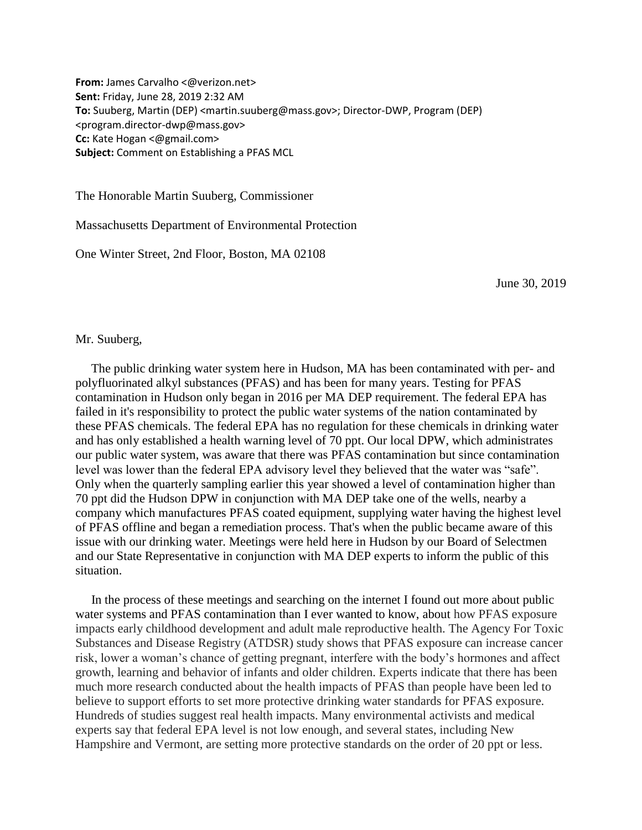**From:** James Carvalho <@verizon.net> **Sent:** Friday, June 28, 2019 2:32 AM **To:** Suuberg, Martin (DEP) <martin.suuberg@mass.gov>; Director-DWP, Program (DEP) <program.director-dwp@mass.gov> **Cc:** Kate Hogan <@gmail.com> **Subject:** Comment on Establishing a PFAS MCL

The Honorable Martin Suuberg, Commissioner

Massachusetts Department of Environmental Protection

One Winter Street, 2nd Floor, Boston, MA 02108

June 30, 2019

## Mr. Suuberg,

The public drinking water system here in Hudson, MA has been contaminated with per- and polyfluorinated alkyl substances (PFAS) and has been for many years. Testing for PFAS contamination in Hudson only began in 2016 per MA DEP requirement. The federal EPA has failed in it's responsibility to protect the public water systems of the nation contaminated by these PFAS chemicals. The federal EPA has no regulation for these chemicals in drinking water and has only established a health warning level of 70 ppt. Our local DPW, which administrates our public water system, was aware that there was PFAS contamination but since contamination level was lower than the federal EPA advisory level they believed that the water was "safe". Only when the quarterly sampling earlier this year showed a level of contamination higher than 70 ppt did the Hudson DPW in conjunction with MA DEP take one of the wells, nearby a company which manufactures PFAS coated equipment, supplying water having the highest level of PFAS offline and began a remediation process. That's when the public became aware of this issue with our drinking water. Meetings were held here in Hudson by our Board of Selectmen and our State Representative in conjunction with MA DEP experts to inform the public of this situation.

In the process of these meetings and searching on the internet I found out more about public water systems and PFAS contamination than I ever wanted to know, about how PFAS exposure impacts early childhood development and adult male reproductive health. The Agency For Toxic Substances and Disease Registry (ATDSR) study shows that PFAS exposure can increase cancer risk, lower a woman's chance of getting pregnant, interfere with the body's hormones and affect growth, learning and behavior of infants and older children. Experts indicate that there has been much more research conducted about the health impacts of PFAS than people have been led to believe to support efforts to set more protective drinking water standards for PFAS exposure. Hundreds of studies suggest real health impacts. Many environmental activists and medical experts say that federal EPA level is not low enough, and several states, including New Hampshire and Vermont, are setting more protective standards on the order of 20 ppt or less.